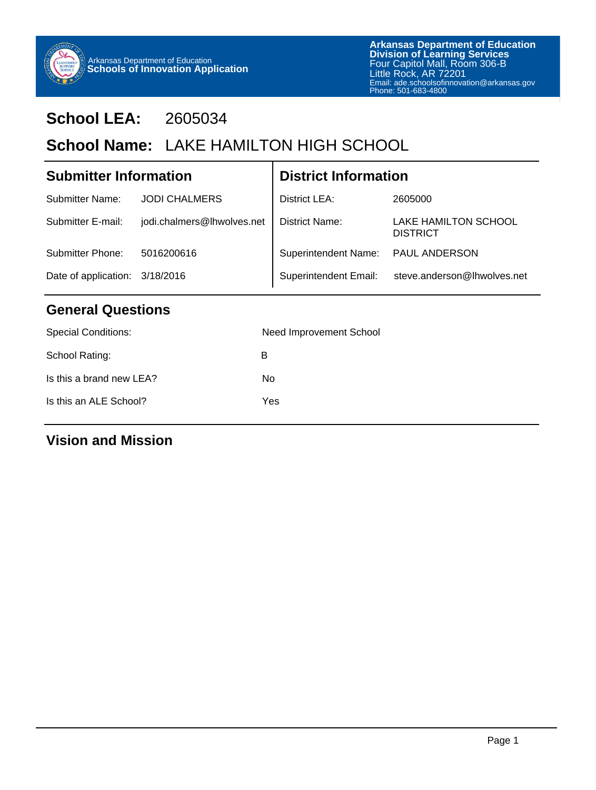

## **School LEA:** 2605034

## School Name: LAKE HAMILTON HIGH SCHOOL

#### Date of application: 3/18/2016 **Submitter Information** Submitter Name: JODI CHALMERS Submitter E-mail: jodi.chalmers@lhwolves.net Submitter Phone: 5016200616 **District Information** District LEA: District Name: Superintendent Name: Superintendent Email: 2605000 LAKE HAMILTON SCHOOL **DISTRICT** PAUL ANDERSON steve.anderson@lhwolves.net

## **General Questions**

| <b>Special Conditions:</b> | Need Improvement School |
|----------------------------|-------------------------|
| School Rating:             | в                       |
| Is this a brand new LEA?   | No                      |
| Is this an ALE School?     | Yes                     |
|                            |                         |

## **Vision and Mission**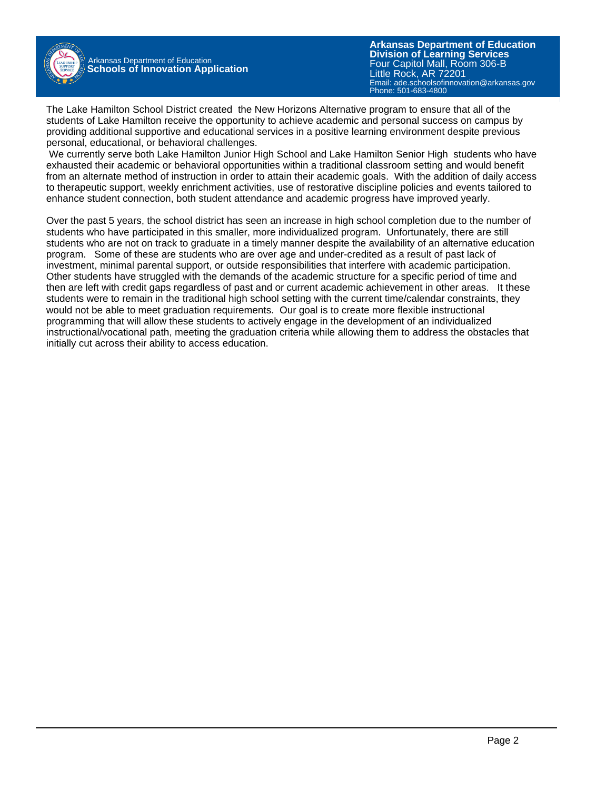

Arkansas Department of Education **Schools of Innovation Application**

**Arkansas Department of Education** Email: ade.schoolsofinnovation@arkansas.gov **Division of Learning Services** Four Capitol Mall, Room 306-B Little Rock, AR 72201 Phone: 501-683-4800

The Lake Hamilton School District created the New Horizons Alternative program to ensure that all of the students of Lake Hamilton receive the opportunity to achieve academic and personal success on campus by providing additional supportive and educational services in a positive learning environment despite previous personal, educational, or behavioral challenges.

 We currently serve both Lake Hamilton Junior High School and Lake Hamilton Senior High students who have exhausted their academic or behavioral opportunities within a traditional classroom setting and would benefit from an alternate method of instruction in order to attain their academic goals. With the addition of daily access to therapeutic support, weekly enrichment activities, use of restorative discipline policies and events tailored to enhance student connection, both student attendance and academic progress have improved yearly.

Over the past 5 years, the school district has seen an increase in high school completion due to the number of students who have participated in this smaller, more individualized program. Unfortunately, there are still students who are not on track to graduate in a timely manner despite the availability of an alternative education program. Some of these are students who are over age and under-credited as a result of past lack of investment, minimal parental support, or outside responsibilities that interfere with academic participation. Other students have struggled with the demands of the academic structure for a specific period of time and then are left with credit gaps regardless of past and or current academic achievement in other areas. It these students were to remain in the traditional high school setting with the current time/calendar constraints, they would not be able to meet graduation requirements. Our goal is to create more flexible instructional programming that will allow these students to actively engage in the development of an individualized instructional/vocational path, meeting the graduation criteria while allowing them to address the obstacles that initially cut across their ability to access education.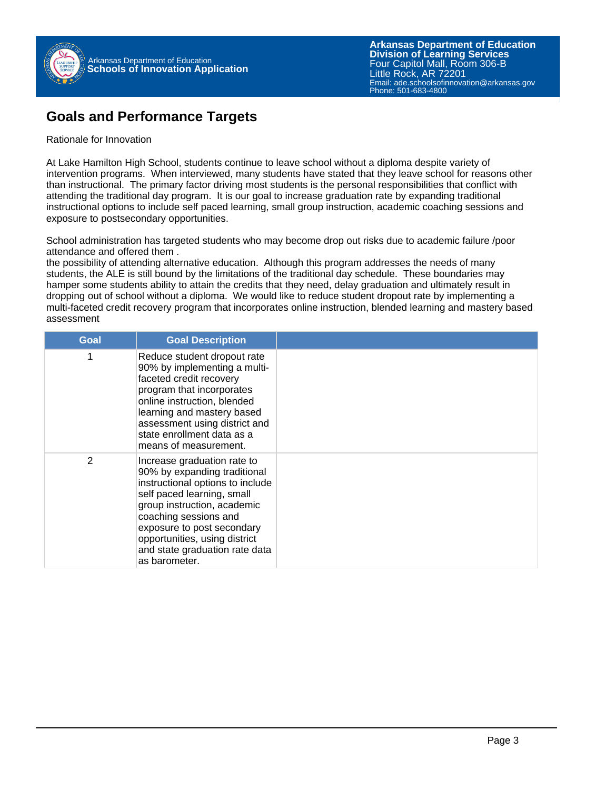

## **Goals and Performance Targets**

#### Rationale for Innovation

At Lake Hamilton High School, students continue to leave school without a diploma despite variety of intervention programs. When interviewed, many students have stated that they leave school for reasons other than instructional. The primary factor driving most students is the personal responsibilities that conflict with attending the traditional day program. It is our goal to increase graduation rate by expanding traditional instructional options to include self paced learning, small group instruction, academic coaching sessions and exposure to postsecondary opportunities.

School administration has targeted students who may become drop out risks due to academic failure /poor attendance and offered them .

the possibility of attending alternative education. Although this program addresses the needs of many students, the ALE is still bound by the limitations of the traditional day schedule. These boundaries may hamper some students ability to attain the credits that they need, delay graduation and ultimately result in dropping out of school without a diploma. We would like to reduce student dropout rate by implementing a multi-faceted credit recovery program that incorporates online instruction, blended learning and mastery based assessment

| Goal | <b>Goal Description</b>                                                                                                                                                                                                                                                                                 |  |
|------|---------------------------------------------------------------------------------------------------------------------------------------------------------------------------------------------------------------------------------------------------------------------------------------------------------|--|
|      | Reduce student dropout rate<br>90% by implementing a multi-<br>faceted credit recovery<br>program that incorporates<br>online instruction, blended<br>learning and mastery based<br>assessment using district and<br>state enrollment data as a<br>means of measurement.                                |  |
| 2    | Increase graduation rate to<br>90% by expanding traditional<br>instructional options to include<br>self paced learning, small<br>group instruction, academic<br>coaching sessions and<br>exposure to post secondary<br>opportunities, using district<br>and state graduation rate data<br>as barometer. |  |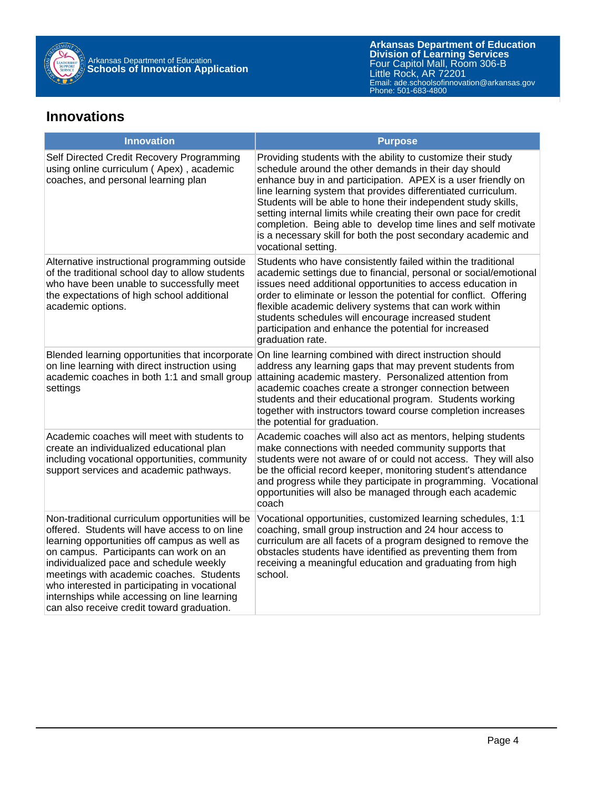

### **Innovations**

| <b>Innovation</b>                                                                                                                                                                                                                                                                                                                                                                                                                 | <b>Purpose</b>                                                                                                                                                                                                                                                                                                                                                                                                                                                                                                                                        |
|-----------------------------------------------------------------------------------------------------------------------------------------------------------------------------------------------------------------------------------------------------------------------------------------------------------------------------------------------------------------------------------------------------------------------------------|-------------------------------------------------------------------------------------------------------------------------------------------------------------------------------------------------------------------------------------------------------------------------------------------------------------------------------------------------------------------------------------------------------------------------------------------------------------------------------------------------------------------------------------------------------|
| Self Directed Credit Recovery Programming<br>using online curriculum (Apex), academic<br>coaches, and personal learning plan                                                                                                                                                                                                                                                                                                      | Providing students with the ability to customize their study<br>schedule around the other demands in their day should<br>enhance buy in and participation. APEX is a user friendly on<br>line learning system that provides differentiated curriculum.<br>Students will be able to hone their independent study skills,<br>setting internal limits while creating their own pace for credit<br>completion. Being able to develop time lines and self motivate<br>is a necessary skill for both the post secondary academic and<br>vocational setting. |
| Alternative instructional programming outside<br>of the traditional school day to allow students<br>who have been unable to successfully meet<br>the expectations of high school additional<br>academic options.                                                                                                                                                                                                                  | Students who have consistently failed within the traditional<br>academic settings due to financial, personal or social/emotional<br>issues need additional opportunities to access education in<br>order to eliminate or lesson the potential for conflict. Offering<br>flexible academic delivery systems that can work within<br>students schedules will encourage increased student<br>participation and enhance the potential for increased<br>graduation rate.                                                                                   |
| on line learning with direct instruction using<br>academic coaches in both 1:1 and small group<br>settings                                                                                                                                                                                                                                                                                                                        | Blended learning opportunities that incorporate On line learning combined with direct instruction should<br>address any learning gaps that may prevent students from<br>attaining academic mastery. Personalized attention from<br>academic coaches create a stronger connection between<br>students and their educational program. Students working<br>together with instructors toward course completion increases<br>the potential for graduation.                                                                                                 |
| Academic coaches will meet with students to<br>create an individualized educational plan<br>including vocational opportunities, community<br>support services and academic pathways.                                                                                                                                                                                                                                              | Academic coaches will also act as mentors, helping students<br>make connections with needed community supports that<br>students were not aware of or could not access. They will also<br>be the official record keeper, monitoring student's attendance<br>and progress while they participate in programming. Vocational<br>opportunities will also be managed through each academic<br>coach                                                                                                                                                        |
| Non-traditional curriculum opportunities will be<br>offered. Students will have access to on line<br>learning opportunities off campus as well as<br>on campus. Participants can work on an<br>individualized pace and schedule weekly<br>meetings with academic coaches. Students<br>who interested in participating in vocational<br>internships while accessing on line learning<br>can also receive credit toward graduation. | Vocational opportunities, customized learning schedules, 1:1<br>coaching, small group instruction and 24 hour access to<br>curriculum are all facets of a program designed to remove the<br>obstacles students have identified as preventing them from<br>receiving a meaningful education and graduating from high<br>school.                                                                                                                                                                                                                        |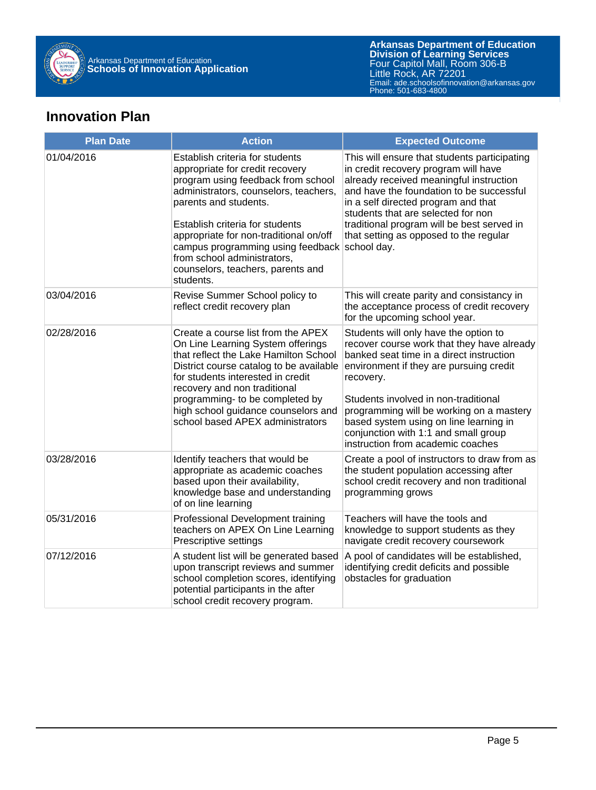

## **Innovation Plan**

| <b>Plan Date</b> | <b>Action</b>                                                                                                                                                                                                                                                                                                                                                                 | <b>Expected Outcome</b>                                                                                                                                                                                                                                                                                                                                                                            |
|------------------|-------------------------------------------------------------------------------------------------------------------------------------------------------------------------------------------------------------------------------------------------------------------------------------------------------------------------------------------------------------------------------|----------------------------------------------------------------------------------------------------------------------------------------------------------------------------------------------------------------------------------------------------------------------------------------------------------------------------------------------------------------------------------------------------|
| 01/04/2016       | Establish criteria for students<br>appropriate for credit recovery<br>program using feedback from school<br>administrators, counselors, teachers,<br>parents and students.<br>Establish criteria for students<br>appropriate for non-traditional on/off<br>campus programming using feedback<br>from school administrators,<br>counselors, teachers, parents and<br>students. | This will ensure that students participating<br>in credit recovery program will have<br>already received meaningful instruction<br>and have the foundation to be successful<br>in a self directed program and that<br>students that are selected for non<br>traditional program will be best served in<br>that setting as opposed to the regular<br>school day.                                    |
| 03/04/2016       | Revise Summer School policy to<br>reflect credit recovery plan                                                                                                                                                                                                                                                                                                                | This will create parity and consistancy in<br>the acceptance process of credit recovery<br>for the upcoming school year.                                                                                                                                                                                                                                                                           |
| 02/28/2016       | Create a course list from the APEX<br>On Line Learning System offerings<br>that reflect the Lake Hamilton School<br>District course catalog to be available<br>for students interested in credit<br>recovery and non traditional<br>programming- to be completed by<br>high school guidance counselors and<br>school based APEX administrators                                | Students will only have the option to<br>recover course work that they have already<br>banked seat time in a direct instruction<br>environment if they are pursuing credit<br>recovery.<br>Students involved in non-traditional<br>programming will be working on a mastery<br>based system using on line learning in<br>conjunction with 1:1 and small group<br>instruction from academic coaches |
| 03/28/2016       | Identify teachers that would be<br>appropriate as academic coaches<br>based upon their availability,<br>knowledge base and understanding<br>of on line learning                                                                                                                                                                                                               | Create a pool of instructors to draw from as<br>the student population accessing after<br>school credit recovery and non traditional<br>programming grows                                                                                                                                                                                                                                          |
| 05/31/2016       | Professional Development training<br>teachers on APEX On Line Learning<br>Prescriptive settings                                                                                                                                                                                                                                                                               | Teachers will have the tools and<br>knowledge to support students as they<br>navigate credit recovery coursework                                                                                                                                                                                                                                                                                   |
| 07/12/2016       | A student list will be generated based<br>upon transcript reviews and summer<br>school completion scores, identifying<br>potential participants in the after<br>school credit recovery program.                                                                                                                                                                               | A pool of candidates will be established,<br>identifying credit deficits and possible<br>obstacles for graduation                                                                                                                                                                                                                                                                                  |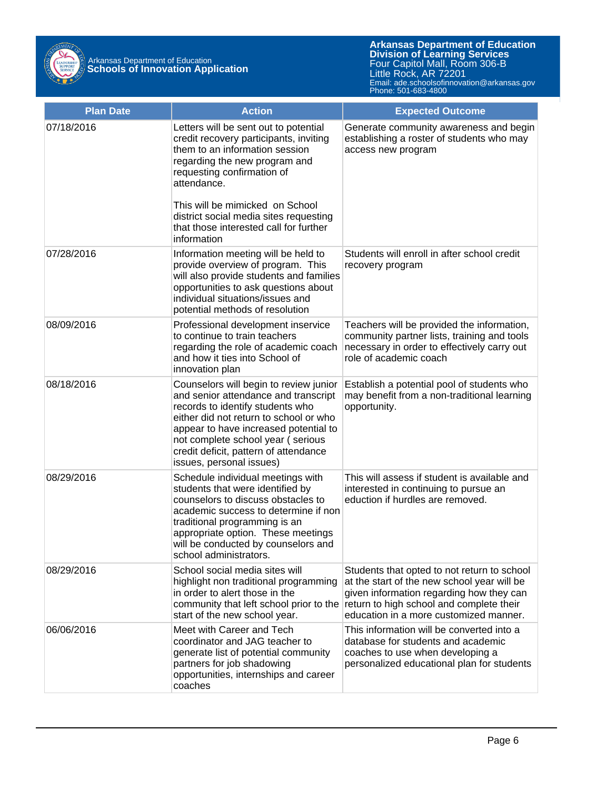

| <b>Plan Date</b> | <b>Action</b>                                                                                                                                                                                                                                                                                                   | <b>Expected Outcome</b>                                                                                                                                                                                                      |
|------------------|-----------------------------------------------------------------------------------------------------------------------------------------------------------------------------------------------------------------------------------------------------------------------------------------------------------------|------------------------------------------------------------------------------------------------------------------------------------------------------------------------------------------------------------------------------|
| 07/18/2016       | Letters will be sent out to potential<br>credit recovery participants, inviting<br>them to an information session<br>regarding the new program and<br>requesting confirmation of<br>attendance.                                                                                                                 | Generate community awareness and begin<br>establishing a roster of students who may<br>access new program                                                                                                                    |
|                  | This will be mimicked on School<br>district social media sites requesting<br>that those interested call for further<br>information                                                                                                                                                                              |                                                                                                                                                                                                                              |
| 07/28/2016       | Information meeting will be held to<br>provide overview of program. This<br>will also provide students and families<br>opportunities to ask questions about<br>individual situations/issues and<br>potential methods of resolution                                                                              | Students will enroll in after school credit<br>recovery program                                                                                                                                                              |
| 08/09/2016       | Professional development inservice<br>to continue to train teachers<br>regarding the role of academic coach<br>and how it ties into School of<br>innovation plan                                                                                                                                                | Teachers will be provided the information,<br>community partner lists, training and tools<br>necessary in order to effectively carry out<br>role of academic coach                                                           |
| 08/18/2016       | Counselors will begin to review junior<br>and senior attendance and transcript<br>records to identify students who<br>either did not return to school or who<br>appear to have increased potential to<br>not complete school year (serious<br>credit deficit, pattern of attendance<br>issues, personal issues) | Establish a potential pool of students who<br>may benefit from a non-traditional learning<br>opportunity.                                                                                                                    |
| 08/29/2016       | Schedule individual meetings with<br>students that were identified by<br>counselors to discuss obstacles to<br>academic success to determine if non<br>traditional programming is an<br>appropriate option. These meetings<br>will be conducted by counselors and<br>school administrators.                     | This will assess if student is available and<br>interested in continuing to pursue an<br>eduction if hurdles are removed.                                                                                                    |
| 08/29/2016       | School social media sites will<br>highlight non traditional programming<br>in order to alert those in the<br>community that left school prior to the<br>start of the new school year.                                                                                                                           | Students that opted to not return to school<br>at the start of the new school year will be<br>given information regarding how they can<br>return to high school and complete their<br>education in a more customized manner. |
| 06/06/2016       | Meet with Career and Tech<br>coordinator and JAG teacher to<br>generate list of potential community<br>partners for job shadowing<br>opportunities, internships and career<br>coaches                                                                                                                           | This information will be converted into a<br>database for students and academic<br>coaches to use when developing a<br>personalized educational plan for students                                                            |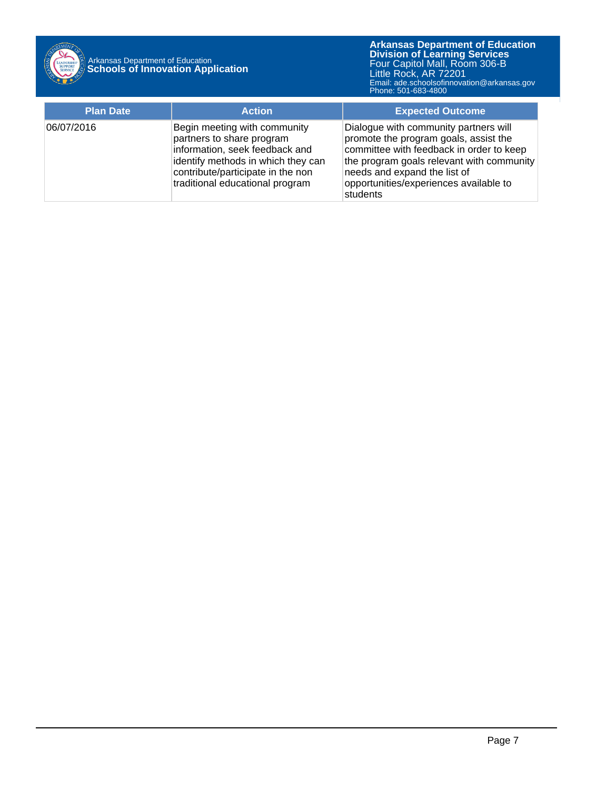

## Arkansas Department of Education **Schools of Innovation Application**

| <b>Plan Date</b> | <b>Action</b>                                                                                                                                                                                             | <b>Expected Outcome</b>                                                                                                                                                                                                                                       |
|------------------|-----------------------------------------------------------------------------------------------------------------------------------------------------------------------------------------------------------|---------------------------------------------------------------------------------------------------------------------------------------------------------------------------------------------------------------------------------------------------------------|
| 06/07/2016       | Begin meeting with community<br>partners to share program<br>information, seek feedback and<br>identify methods in which they can<br>contribute/participate in the non<br>traditional educational program | Dialogue with community partners will<br>promote the program goals, assist the<br>committee with feedback in order to keep<br>the program goals relevant with community<br>needs and expand the list of<br>opportunities/experiences available to<br>students |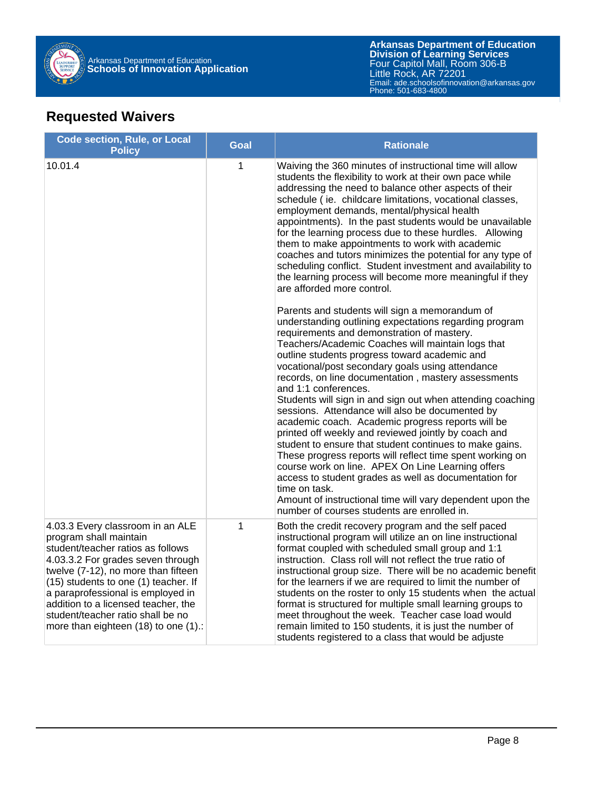

## **Requested Waivers**

| <b>Code section, Rule, or Local</b><br><b>Policy</b>                                                                                                                                                                                                                                                                                                                         | <b>Goal</b>  | <b>Rationale</b>                                                                                                                                                                                                                                                                                                                                                                                                                                                                                                                                                                                                                                                                                                                                                                                                                                                                                                                                                                                                                                                                                                                                                                                                                                                                                                                                                                                                                                                                                                                                                                                                                                                                             |
|------------------------------------------------------------------------------------------------------------------------------------------------------------------------------------------------------------------------------------------------------------------------------------------------------------------------------------------------------------------------------|--------------|----------------------------------------------------------------------------------------------------------------------------------------------------------------------------------------------------------------------------------------------------------------------------------------------------------------------------------------------------------------------------------------------------------------------------------------------------------------------------------------------------------------------------------------------------------------------------------------------------------------------------------------------------------------------------------------------------------------------------------------------------------------------------------------------------------------------------------------------------------------------------------------------------------------------------------------------------------------------------------------------------------------------------------------------------------------------------------------------------------------------------------------------------------------------------------------------------------------------------------------------------------------------------------------------------------------------------------------------------------------------------------------------------------------------------------------------------------------------------------------------------------------------------------------------------------------------------------------------------------------------------------------------------------------------------------------------|
| 10.01.4                                                                                                                                                                                                                                                                                                                                                                      | $\mathbf{1}$ | Waiving the 360 minutes of instructional time will allow<br>students the flexibility to work at their own pace while<br>addressing the need to balance other aspects of their<br>schedule (ie. childcare limitations, vocational classes,<br>employment demands, mental/physical health<br>appointments). In the past students would be unavailable<br>for the learning process due to these hurdles. Allowing<br>them to make appointments to work with academic<br>coaches and tutors minimizes the potential for any type of<br>scheduling conflict. Student investment and availability to<br>the learning process will become more meaningful if they<br>are afforded more control.<br>Parents and students will sign a memorandum of<br>understanding outlining expectations regarding program<br>requirements and demonstration of mastery.<br>Teachers/Academic Coaches will maintain logs that<br>outline students progress toward academic and<br>vocational/post secondary goals using attendance<br>records, on line documentation, mastery assessments<br>and 1:1 conferences.<br>Students will sign in and sign out when attending coaching<br>sessions. Attendance will also be documented by<br>academic coach. Academic progress reports will be<br>printed off weekly and reviewed jointly by coach and<br>student to ensure that student continues to make gains.<br>These progress reports will reflect time spent working on<br>course work on line. APEX On Line Learning offers<br>access to student grades as well as documentation for<br>time on task.<br>Amount of instructional time will vary dependent upon the<br>number of courses students are enrolled in. |
| 4.03.3 Every classroom in an ALE<br>program shall maintain<br>student/teacher ratios as follows<br>4.03.3.2 For grades seven through<br>twelve (7-12), no more than fifteen<br>(15) students to one (1) teacher. If<br>a paraprofessional is employed in<br>addition to a licensed teacher, the<br>student/teacher ratio shall be no<br>more than eighteen (18) to one (1).: | $\mathbf{1}$ | Both the credit recovery program and the self paced<br>instructional program will utilize an on line instructional<br>format coupled with scheduled small group and 1:1<br>instruction. Class roll will not reflect the true ratio of<br>instructional group size. There will be no academic benefit<br>for the learners if we are required to limit the number of<br>students on the roster to only 15 students when the actual<br>format is structured for multiple small learning groups to<br>meet throughout the week. Teacher case load would<br>remain limited to 150 students, it is just the number of<br>students registered to a class that would be adjuste                                                                                                                                                                                                                                                                                                                                                                                                                                                                                                                                                                                                                                                                                                                                                                                                                                                                                                                                                                                                                      |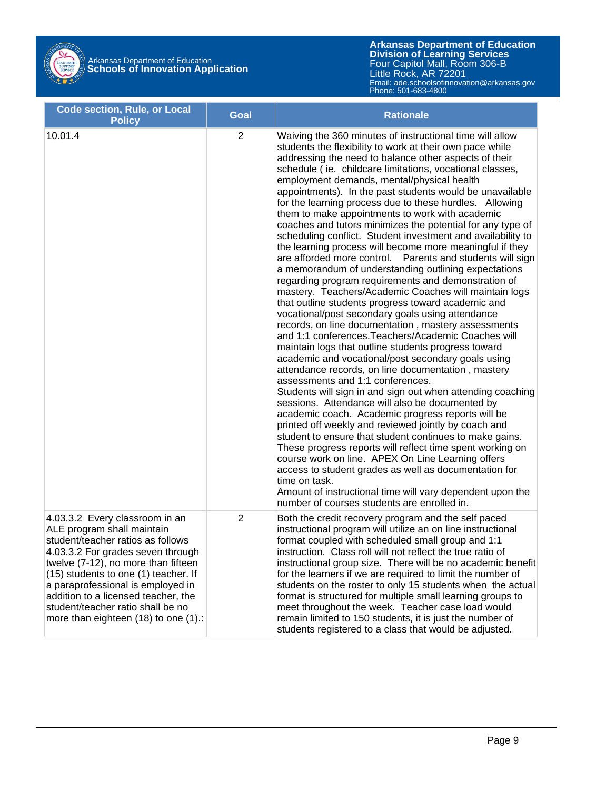

| <b>Code section, Rule, or Local</b><br><b>Policy</b>                                                                                                                                                                                                                                                                                                                           | <b>Goal</b>    | <b>Rationale</b>                                                                                                                                                                                                                                                                                                                                                                                                                                                                                                                                                                                                                                                                                                                                                                                                                                                                                                                                                                                                                                                                                                                                                                                                                                                                                                                                                                                                                                                                                                                                                                                                                                                                                                                                                                                                                                                                                                                   |  |  |  |
|--------------------------------------------------------------------------------------------------------------------------------------------------------------------------------------------------------------------------------------------------------------------------------------------------------------------------------------------------------------------------------|----------------|------------------------------------------------------------------------------------------------------------------------------------------------------------------------------------------------------------------------------------------------------------------------------------------------------------------------------------------------------------------------------------------------------------------------------------------------------------------------------------------------------------------------------------------------------------------------------------------------------------------------------------------------------------------------------------------------------------------------------------------------------------------------------------------------------------------------------------------------------------------------------------------------------------------------------------------------------------------------------------------------------------------------------------------------------------------------------------------------------------------------------------------------------------------------------------------------------------------------------------------------------------------------------------------------------------------------------------------------------------------------------------------------------------------------------------------------------------------------------------------------------------------------------------------------------------------------------------------------------------------------------------------------------------------------------------------------------------------------------------------------------------------------------------------------------------------------------------------------------------------------------------------------------------------------------------|--|--|--|
| 10.01.4                                                                                                                                                                                                                                                                                                                                                                        | $\overline{2}$ | Waiving the 360 minutes of instructional time will allow<br>students the flexibility to work at their own pace while<br>addressing the need to balance other aspects of their<br>schedule (ie. childcare limitations, vocational classes,<br>employment demands, mental/physical health<br>appointments). In the past students would be unavailable<br>for the learning process due to these hurdles. Allowing<br>them to make appointments to work with academic<br>coaches and tutors minimizes the potential for any type of<br>scheduling conflict. Student investment and availability to<br>the learning process will become more meaningful if they<br>Parents and students will sign<br>are afforded more control.<br>a memorandum of understanding outlining expectations<br>regarding program requirements and demonstration of<br>mastery. Teachers/Academic Coaches will maintain logs<br>that outline students progress toward academic and<br>vocational/post secondary goals using attendance<br>records, on line documentation, mastery assessments<br>and 1:1 conferences. Teachers/Academic Coaches will<br>maintain logs that outline students progress toward<br>academic and vocational/post secondary goals using<br>attendance records, on line documentation, mastery<br>assessments and 1:1 conferences.<br>Students will sign in and sign out when attending coaching<br>sessions. Attendance will also be documented by<br>academic coach. Academic progress reports will be<br>printed off weekly and reviewed jointly by coach and<br>student to ensure that student continues to make gains.<br>These progress reports will reflect time spent working on<br>course work on line. APEX On Line Learning offers<br>access to student grades as well as documentation for<br>time on task.<br>Amount of instructional time will vary dependent upon the<br>number of courses students are enrolled in. |  |  |  |
| 4.03.3.2 Every classroom in an<br>ALE program shall maintain<br>student/teacher ratios as follows<br>4.03.3.2 For grades seven through<br>twelve (7-12), no more than fifteen<br>(15) students to one (1) teacher. If<br>a paraprofessional is employed in<br>addition to a licensed teacher, the<br>student/teacher ratio shall be no<br>more than eighteen (18) to one (1).: | 2              | Both the credit recovery program and the self paced<br>instructional program will utilize an on line instructional<br>format coupled with scheduled small group and 1:1<br>instruction. Class roll will not reflect the true ratio of<br>instructional group size. There will be no academic benefit<br>for the learners if we are required to limit the number of<br>students on the roster to only 15 students when the actual<br>format is structured for multiple small learning groups to<br>meet throughout the week. Teacher case load would<br>remain limited to 150 students, it is just the number of<br>students registered to a class that would be adjusted.                                                                                                                                                                                                                                                                                                                                                                                                                                                                                                                                                                                                                                                                                                                                                                                                                                                                                                                                                                                                                                                                                                                                                                                                                                                          |  |  |  |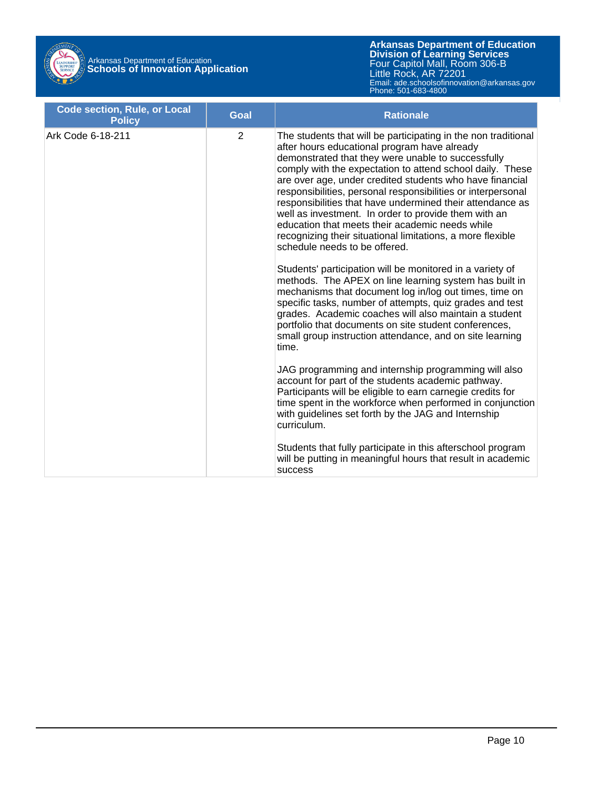

| <b>Code section, Rule, or Local</b><br><b>Policy</b> | <b>Goal</b>    | <b>Rationale</b>                                                                                                                                                                                                                                                                                                                                                                                                                                                                                                                                                                                                                     |
|------------------------------------------------------|----------------|--------------------------------------------------------------------------------------------------------------------------------------------------------------------------------------------------------------------------------------------------------------------------------------------------------------------------------------------------------------------------------------------------------------------------------------------------------------------------------------------------------------------------------------------------------------------------------------------------------------------------------------|
| Ark Code 6-18-211                                    | $\overline{2}$ | The students that will be participating in the non traditional<br>after hours educational program have already<br>demonstrated that they were unable to successfully<br>comply with the expectation to attend school daily. These<br>are over age, under credited students who have financial<br>responsibilities, personal responsibilities or interpersonal<br>responsibilities that have undermined their attendance as<br>well as investment. In order to provide them with an<br>education that meets their academic needs while<br>recognizing their situational limitations, a more flexible<br>schedule needs to be offered. |
|                                                      |                | Students' participation will be monitored in a variety of<br>methods. The APEX on line learning system has built in<br>mechanisms that document log in/log out times, time on<br>specific tasks, number of attempts, quiz grades and test<br>grades. Academic coaches will also maintain a student<br>portfolio that documents on site student conferences,<br>small group instruction attendance, and on site learning<br>time.                                                                                                                                                                                                     |
|                                                      |                | JAG programming and internship programming will also<br>account for part of the students academic pathway.<br>Participants will be eligible to earn carnegie credits for<br>time spent in the workforce when performed in conjunction<br>with guidelines set forth by the JAG and Internship<br>curriculum.                                                                                                                                                                                                                                                                                                                          |
|                                                      |                | Students that fully participate in this afterschool program<br>will be putting in meaningful hours that result in academic<br>success                                                                                                                                                                                                                                                                                                                                                                                                                                                                                                |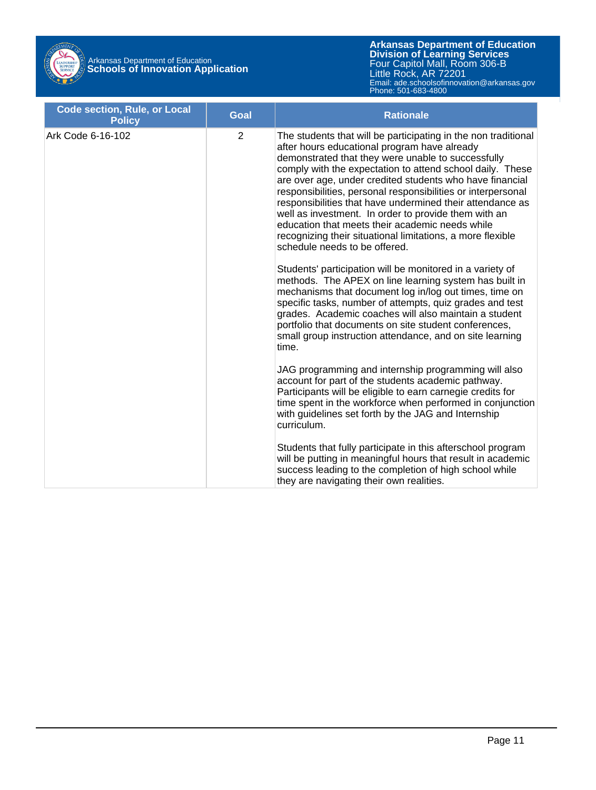

| <b>Code section, Rule, or Local</b><br><b>Policy</b> | <b>Goal</b>    | <b>Rationale</b>                                                                                                                                                                                                                                                                                                                                                                                                                                                                                                                                                                                                                     |
|------------------------------------------------------|----------------|--------------------------------------------------------------------------------------------------------------------------------------------------------------------------------------------------------------------------------------------------------------------------------------------------------------------------------------------------------------------------------------------------------------------------------------------------------------------------------------------------------------------------------------------------------------------------------------------------------------------------------------|
| Ark Code 6-16-102                                    | $\overline{2}$ | The students that will be participating in the non traditional<br>after hours educational program have already<br>demonstrated that they were unable to successfully<br>comply with the expectation to attend school daily. These<br>are over age, under credited students who have financial<br>responsibilities, personal responsibilities or interpersonal<br>responsibilities that have undermined their attendance as<br>well as investment. In order to provide them with an<br>education that meets their academic needs while<br>recognizing their situational limitations, a more flexible<br>schedule needs to be offered. |
|                                                      |                | Students' participation will be monitored in a variety of<br>methods. The APEX on line learning system has built in<br>mechanisms that document log in/log out times, time on<br>specific tasks, number of attempts, quiz grades and test<br>grades. Academic coaches will also maintain a student<br>portfolio that documents on site student conferences,<br>small group instruction attendance, and on site learning<br>time.                                                                                                                                                                                                     |
|                                                      |                | JAG programming and internship programming will also<br>account for part of the students academic pathway.<br>Participants will be eligible to earn carnegie credits for<br>time spent in the workforce when performed in conjunction<br>with guidelines set forth by the JAG and Internship<br>curriculum.                                                                                                                                                                                                                                                                                                                          |
|                                                      |                | Students that fully participate in this afterschool program<br>will be putting in meaningful hours that result in academic<br>success leading to the completion of high school while<br>they are navigating their own realities.                                                                                                                                                                                                                                                                                                                                                                                                     |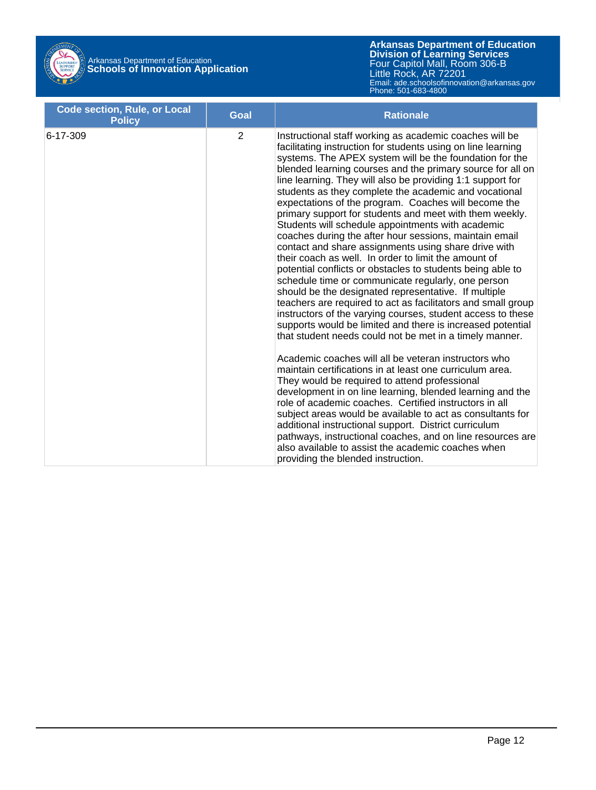

# Arkansas Department of Education **Schools of Innovation Application**

| <b>Code section, Rule, or Local</b><br><b>Policy</b> | <b>Goal</b>    | <b>Rationale</b>                                                                                                                                                                                                                                                                                                                                                                                                                                                                                                                                                                                                                                                                                                                                                                                                                                                                                                                                                                                                                                                                                                                                                                                                                                                                                                                                                                                                                                                                                                                                                                                                                                                                                                                           |
|------------------------------------------------------|----------------|--------------------------------------------------------------------------------------------------------------------------------------------------------------------------------------------------------------------------------------------------------------------------------------------------------------------------------------------------------------------------------------------------------------------------------------------------------------------------------------------------------------------------------------------------------------------------------------------------------------------------------------------------------------------------------------------------------------------------------------------------------------------------------------------------------------------------------------------------------------------------------------------------------------------------------------------------------------------------------------------------------------------------------------------------------------------------------------------------------------------------------------------------------------------------------------------------------------------------------------------------------------------------------------------------------------------------------------------------------------------------------------------------------------------------------------------------------------------------------------------------------------------------------------------------------------------------------------------------------------------------------------------------------------------------------------------------------------------------------------------|
| 6-17-309                                             | $\overline{2}$ | Instructional staff working as academic coaches will be<br>facilitating instruction for students using on line learning<br>systems. The APEX system will be the foundation for the<br>blended learning courses and the primary source for all on<br>line learning. They will also be providing 1:1 support for<br>students as they complete the academic and vocational<br>expectations of the program. Coaches will become the<br>primary support for students and meet with them weekly.<br>Students will schedule appointments with academic<br>coaches during the after hour sessions, maintain email<br>contact and share assignments using share drive with<br>their coach as well. In order to limit the amount of<br>potential conflicts or obstacles to students being able to<br>schedule time or communicate regularly, one person<br>should be the designated representative. If multiple<br>teachers are required to act as facilitators and small group<br>instructors of the varying courses, student access to these<br>supports would be limited and there is increased potential<br>that student needs could not be met in a timely manner.<br>Academic coaches will all be veteran instructors who<br>maintain certifications in at least one curriculum area.<br>They would be required to attend professional<br>development in on line learning, blended learning and the<br>role of academic coaches. Certified instructors in all<br>subject areas would be available to act as consultants for<br>additional instructional support. District curriculum<br>pathways, instructional coaches, and on line resources are<br>also available to assist the academic coaches when<br>providing the blended instruction. |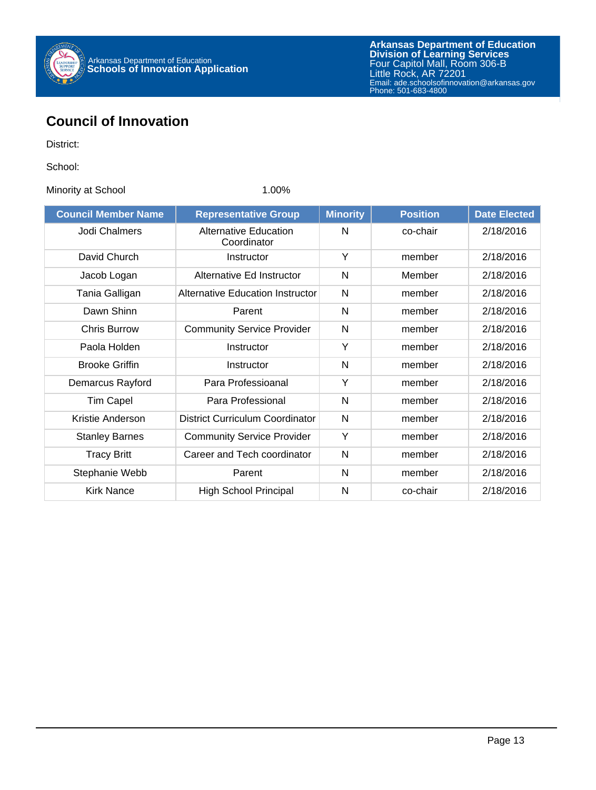

## **Council of Innovation**

District:

School:

Minority at School 1.00%

| <b>Council Member Name</b> | <b>Representative Group</b>                 | <b>Minority</b> | <b>Position</b> | <b>Date Elected</b> |
|----------------------------|---------------------------------------------|-----------------|-----------------|---------------------|
| Jodi Chalmers              | <b>Alternative Education</b><br>Coordinator | N               | co-chair        | 2/18/2016           |
| David Church               | Instructor                                  | Y               | member          | 2/18/2016           |
| Jacob Logan                | Alternative Ed Instructor                   | N               | Member          | 2/18/2016           |
| Tania Galligan             | <b>Alternative Education Instructor</b>     | N               | member          | 2/18/2016           |
| Dawn Shinn                 | Parent                                      | N               | member          | 2/18/2016           |
| <b>Chris Burrow</b>        | <b>Community Service Provider</b>           | N               | member          | 2/18/2016           |
| Paola Holden               | Instructor                                  | Y               | member          | 2/18/2016           |
| <b>Brooke Griffin</b>      | Instructor                                  | N               | member          | 2/18/2016           |
| Demarcus Rayford           | Para Professioanal                          | Y               | member          | 2/18/2016           |
| <b>Tim Capel</b>           | Para Professional                           | N               | member          | 2/18/2016           |
| Kristie Anderson           | District Curriculum Coordinator             | N               | member          | 2/18/2016           |
| <b>Stanley Barnes</b>      | <b>Community Service Provider</b>           | Y               | member          | 2/18/2016           |
| <b>Tracy Britt</b>         | Career and Tech coordinator                 | N               | member          | 2/18/2016           |
| Stephanie Webb             | Parent                                      | N               | member          | 2/18/2016           |
| <b>Kirk Nance</b>          | <b>High School Principal</b>                | N               | co-chair        | 2/18/2016           |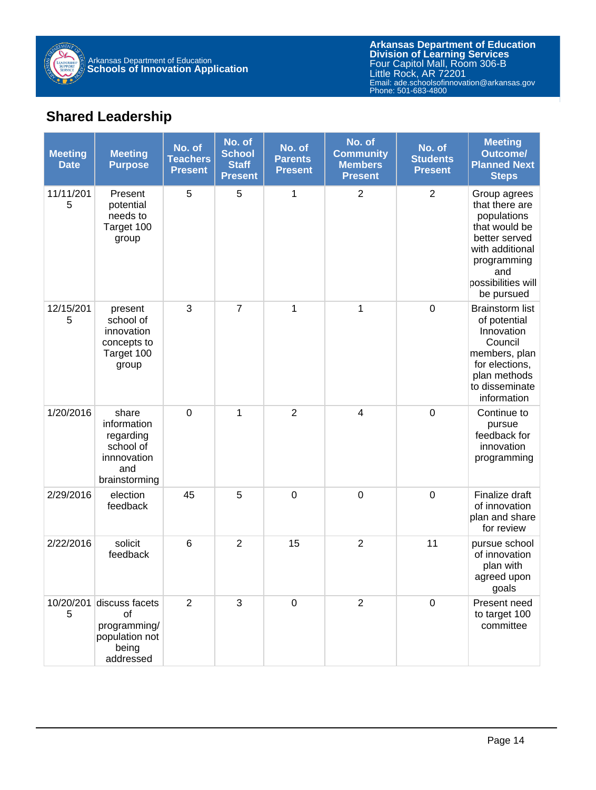

## **Shared Leadership**

| <b>Meeting</b><br><b>Date</b> | <b>Meeting</b><br><b>Purpose</b>                                                      | No. of<br><b>Teachers</b><br><b>Present</b> | No. of<br><b>School</b><br><b>Staff</b><br><b>Present</b> | No. of<br><b>Parents</b><br><b>Present</b> | No. of<br><b>Community</b><br><b>Members</b><br><b>Present</b> | No. of<br><b>Students</b><br><b>Present</b> | <b>Meeting</b><br><b>Outcome/</b><br><b>Planned Next</b><br><b>Steps</b>                                                                                     |
|-------------------------------|---------------------------------------------------------------------------------------|---------------------------------------------|-----------------------------------------------------------|--------------------------------------------|----------------------------------------------------------------|---------------------------------------------|--------------------------------------------------------------------------------------------------------------------------------------------------------------|
| 11/11/201<br>5                | Present<br>potential<br>needs to<br>Target 100<br>group                               | 5                                           | 5                                                         | 1                                          | $\overline{2}$                                                 | $\overline{2}$                              | Group agrees<br>that there are<br>populations<br>that would be<br>better served<br>with additional<br>programming<br>and<br>possibilities will<br>be pursued |
| 12/15/201<br>5                | present<br>school of<br>innovation<br>concepts to<br>Target 100<br>group              | 3                                           | $\overline{7}$                                            | 1                                          | 1                                                              | $\mathbf 0$                                 | <b>Brainstorm list</b><br>of potential<br>Innovation<br>Council<br>members, plan<br>for elections,<br>plan methods<br>to disseminate<br>information          |
| 1/20/2016                     | share<br>information<br>regarding<br>school of<br>innnovation<br>and<br>brainstorming | $\boldsymbol{0}$                            | 1                                                         | $\overline{2}$                             | 4                                                              | $\mathbf 0$                                 | Continue to<br>pursue<br>feedback for<br>innovation<br>programming                                                                                           |
| 2/29/2016                     | election<br>feedback                                                                  | 45                                          | 5                                                         | $\boldsymbol{0}$                           | $\boldsymbol{0}$                                               | $\mathbf 0$                                 | Finalize draft<br>of innovation<br>plan and share<br>for review                                                                                              |
| 2/22/2016                     | solicit<br>feedback                                                                   | 6                                           | $\overline{2}$                                            | 15                                         | $\overline{2}$                                                 | 11                                          | pursue school<br>of innovation<br>plan with<br>agreed upon<br>goals                                                                                          |
| 10/20/201<br>5                | discuss facets<br>οf<br>programming/<br>population not<br>being<br>addressed          | $\overline{2}$                              | 3                                                         | $\mathbf 0$                                | $\overline{2}$                                                 | $\mathbf 0$                                 | Present need<br>to target 100<br>committee                                                                                                                   |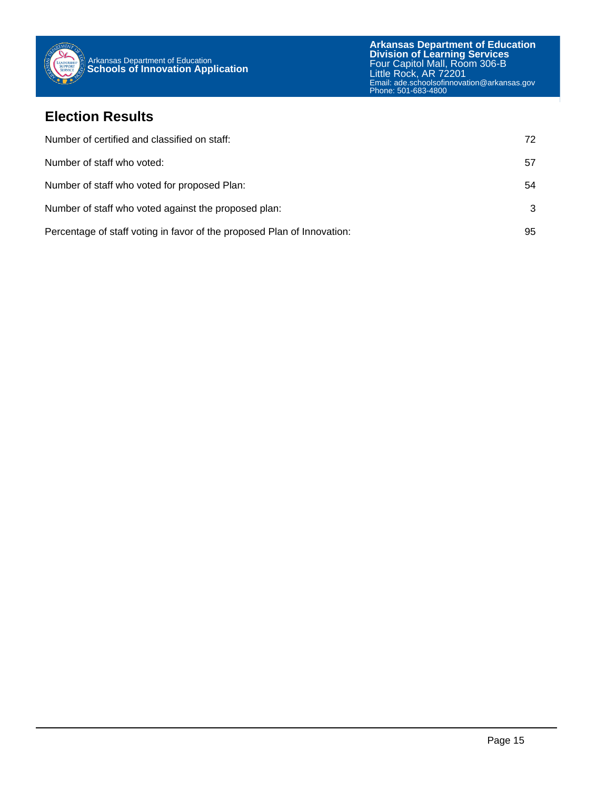

### **Election Results**

| Number of certified and classified on staff:                            | 72. |
|-------------------------------------------------------------------------|-----|
| Number of staff who voted:                                              | 57  |
| Number of staff who voted for proposed Plan:                            | 54  |
| Number of staff who voted against the proposed plan:                    | 3   |
| Percentage of staff voting in favor of the proposed Plan of Innovation: | 95  |